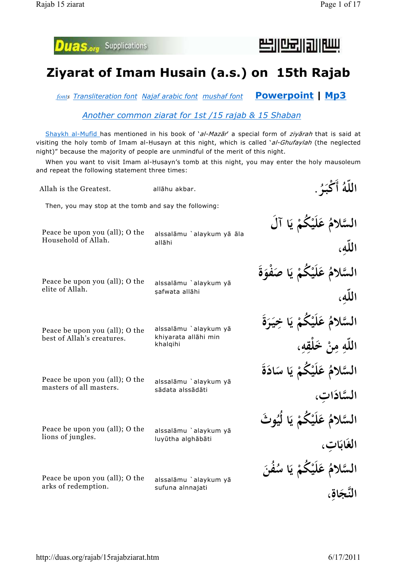لسارالدرالعلاركا



## **Ziyarat of Imam Husain (a.s.) on 15th Rajab**

*fonts Transliteration font Najaf arabic font mushaf font* **Powerpoint | Mp3**

*Another common ziarat for 1st /15 rajab & 15 Shaban*

Shaykh al-Mufid has mentioned in his book of 'al-Mazar' a special form of ziyarah that is said at visiting the holy tomb of Imam al-Husayn at this night, which is called 'al-Ghufaylah (the neglected night)" because the majority of people are unmindful of the merit of this night.

When you want to visit Imam al-Husayn's tomb at this night, you may enter the holy mausoleum and repeat the following statement three times:

Then, you may stop at the tomb and say the following: **اللّه ُ أَ ْكبـ ر َ** ر<br>د Allah is the Greatest. **allāhu akbar. .** السَّلامُ عَلَيْكُمْ يَا آل **ْ ْ ب**<br>: **اللّه ، ِ** alssalāmu `alaykum yā āla allāhi Peace be upon you (all); O the Household of Allah. السَّلامُ عَلَيْكُمْ يَا صَف*و*َةُ **ْ ْ َ َ اللّه ، ِ** alssalāmu `alaykum yā safwata allāhi Peace be upon you (all); O the elite of Allah. السَّلامُ عَلَيْكُمْ يَا خِيَرَةُ **ْ ْ ب**<br>. **ِ َ َ** <mark>اللّهِ مِنْ خَلْقِهِ،</mark> **ِ بِ**<br>بِرِ **ِ** alssalāmu `alaykum yā khiyarata allāhi min khalqihi Peace be upon you (all); O the best of Allah's creatures. السَّلامُ عَلَيْكُمْ يَا سَادَةَ **ْ ْ ي ب**<br>• **َ َ** السَّادَاتِ، **ِ** alssalāmu `alaykum yā sādata alssādāti Peace be upon you (all); O the masters of all masters. السَّلامُ عَلَيْكُمْ يَا لَيُوثُ **ْ ْ ي ب**<br>: الغَابَاتِ، **ِ** alssalāmu `alaykum yā luyūtha alghābāti Peace be upon you (all); O the lions of jungles. السَّلامُ عَلَيْكُمْ يَا سُفَنَ **ْ ْ ي ب**<br>: **َ** النَّجَاقِ، **َ ِ** alssalāmu `alaykum yā sufuna alnnajati Peace be upon you (all); O the arks of redemption.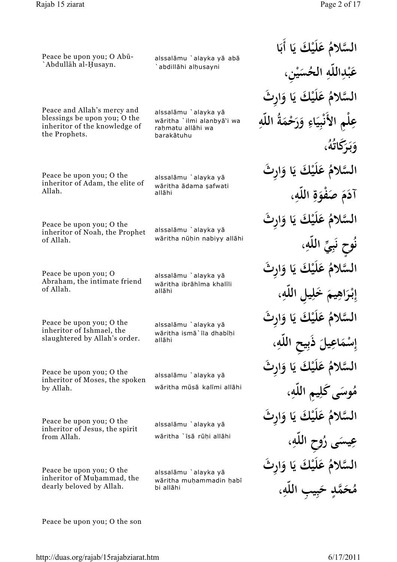السَّلامُ عَلَيْكَ يَا أَبَا **ب**<br>. **ب**<br>. عَبْدِاللَّهِ الحُسَيْنِ، **ْ ِ ْ** السَّلامُ عَلَيْكَ يَا وَارِثَ **ب**<br>• عِلْمِ الأَنْبِيَاءِ وَرَحْمَةُ اللّهِ **ِ : ِ َ َ َ ِ و بـ ر َكا ُ ه ُ ، َ ب**<br>. **َ ت** السَّلامُ عَلَيْكَ يَا وَارِثَ **ب**<br>• **َآد َ َص م ْفو ة اللّه ، َ ِ ِ** السَّلامُ عَلَيْكَ يَا وَارِثَ **ب**<br>: **ح ن و ُ ِي ب ِّ اللّه ، ٍ ن** ن<br>.<br>. **ِ** السَّلامُ عَلَيْكَ يَا وَارِثَ **ب**<br>: **إ ِ بـ ر اه يم ِ َخ ل ي ِل اللّه ، ٔ َ َ ِ ِ** السَّلامُ عَلَيْكَ يَا وَارِثَ **ب**<br>. إِسْمَاعِيلَ ذَبِيحِ اللَّهِ، **ْ َ َ ِ** السَّلامُ عَلَيْكَ يَا وَارِثَ **ي ب**<br>• **َ** .<br>ـ **مُوسَى كَلِيمِ اللَّهِ، َ ِ ِ** السَّلامُ عَلَيْكَ يَا وَارِثَ **ي ب**<br>: **َ َ** عِيسَى رُوحِ اللَّهِ، **َ ِ** السَّلامُ عَلَيْكَ يَا وَارِثَ **ب**<br>. هُحَمَّدٍ حَبِيبِ اللَّهِ، **ٍ ِ**

Peace be upon you; O Abū-`Abdullāh al-Husayn.

alssalāmu `alayka yā abā `abdillāhi alhusayni

Peace and Allah's mercy and blessings be upon you; O the inheritor of the knowledge of the Prophets.

alssalāmu `alayka yā wāritha `ilmi alanbyā'i wa rahmatu allāhi wa barakātuhu

Peace be upon you; O the inheritor of Adam, the elite of Allah.

alssalāmu `alayka yā wāritha ādama safwati allāhi

Peace be upon you; O the inheritor of Noah, the Prophet of Allah.

wāritha nūhin nabiyy allāhi

alssalāmu `alayka yā

Peace be upon you; O Abraham, the intimate friend of Allah.

alssalāmu `alayka yā wāritha ibrāhīma khalīli allāhi

Peace be upon you; O the inheritor of Ishmael, the slaughtered by Allah's order.

alssalāmu `alayka yā wāritha ismā`īla dhabīhi allāhi

Peace be upon you; O the inheritor of Moses, the spoken by Allah.

Peace be upon you; O the inheritor of Jesus, the spirit from Allah.

alssalāmu `alavka vā wāritha `īsā rūhi allāhi

alssalāmu `alayka yā

wāritha mūsā kalīmi allāhi

Peace be upon you; O the inheritor of Muhammad, the dearly beloved by Allah.

alssalāmu `alavka vā wāritha muhammadin habī bi allāhi

Peace be upon you; O the son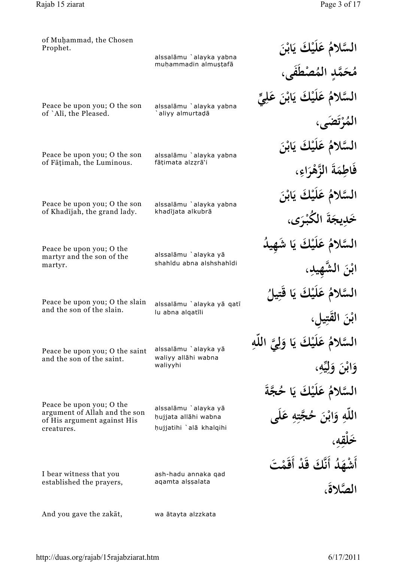| of Muhammad, the Chosen<br>Prophet.                                                      | alssalāmu `alayka yabna<br>muḥammadin almuṣṭafā | السَّلامُ عَلَيْكَ يَابْنَ             |
|------------------------------------------------------------------------------------------|-------------------------------------------------|----------------------------------------|
|                                                                                          |                                                 | مُحَمَّدِ المُصْطَفَى،                 |
| Peace be upon you; O the son                                                             | alssalāmu `alayka yabna                         | السَّلامُ عَلَيْكَ يَابْنَ عَلِيٍّ     |
| of `Alī, the Pleased.                                                                    | aliyy almurtadā                                 | الْمُرْتَضَى،                          |
| Peace be upon you; O the son                                                             | alssalāmu `alayka yabna                         | السَّلامُ عَلَيْكَ يَابْنَ             |
| of Fāțimah, the Luminous.                                                                | fāțimata alzzrā'i                               | فَاطِمَةَ الزَّهْرَاءِ،                |
| Peace be upon you; O the son                                                             | alssalāmu `alayka yabna                         | السَّلامُ عَلَيْكَ يَابْنَ             |
| of Khadījah, the grand lady.                                                             | khadījata alkubrā                               | خَدِيجَةَ الكُبْرَى،                   |
| Peace be upon you; O the                                                                 | alssalāmu `alayka yā                            | السَّلامُ عَلَيْكَ يَا شَهِي           |
| martyr and the son of the<br>martyr.                                                     | shahīdu abna alshshahīdi                        | ابْنَ الشَّهِيدِ،                      |
| Peace be upon you; O the slain                                                           |                                                 | السَّلامُ عَلَيْكَ يَا قَتِيلُ         |
| and the son of the slain.                                                                | alssalāmu `alayka yā qatī<br>lu abna alqatīli   | ابْنَ الْقَتِي                         |
| Peace be upon you; O the saint                                                           | alssalāmu `alayka yā                            | السَّلامُ عَلَيْكَ يَا وَلِيَّ اللَّهِ |
| and the son of the saint.                                                                | waliyy allāhi wabna<br>waliyyhi                 | وَابْنَ وَلِيِّهِ،                     |
|                                                                                          |                                                 | السَّلامُ عَلَيْكَ يَا حُجَّةَ         |
| Peace be upon you; O the<br>argument of Allah and the son<br>of His argument against His | alssalāmu `alayka yā<br>hujjata allāhi wabna    | اللَّهِ وَابْنَ حُجَّتِهِ عَلَى        |
| creatures.                                                                               | hujjatihi `alā khalqihi                         |                                        |
|                                                                                          |                                                 | أَشْهَدُ أَنَّكَ قَدْ أَقَمْتَ         |
| I bear witness that you<br>established the prayers,                                      | ash-hadu annaka qad<br>aqamta alşşalata         | الصَّلاةَ،                             |
| And you gave the zakat,                                                                  | wa ātayta alzzkata                              |                                        |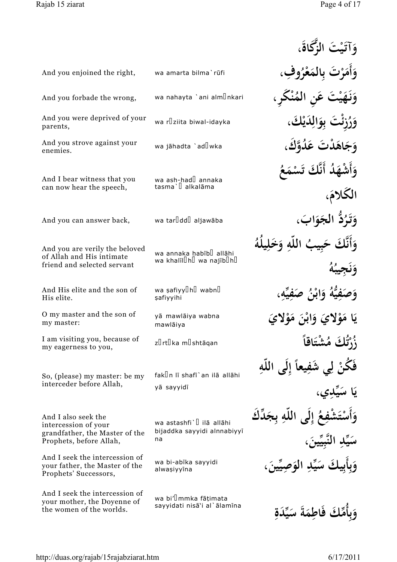|                                                                                                          |                                                                                    | وَآتَيْتَ الزِّكَاةَ،                                  |
|----------------------------------------------------------------------------------------------------------|------------------------------------------------------------------------------------|--------------------------------------------------------|
| And you enjoined the right,                                                                              | wa amarta bilma`rūfi                                                               | وَأَمَرْتَ بِالْمَعْرُوفِ                              |
| And you forbade the wrong,                                                                               | wa nahayta `ani alm <b>Unkari</b>                                                  | ، عَنِ المُنْكَرِ ،                                    |
| And you were deprived of your<br>parents,                                                                | wa r $\mathbb I$ ziita biwal-idayka                                                | ئَتَ بِوَالِدَيْكَ،                                    |
| And you strove against your<br>enemies.                                                                  | wa jāhadta `ad <b></b> lwka                                                        | وَجَاهَدْتَ عَدُوَّكَ،                                 |
| And I bear witness that you<br>can now hear the speech,                                                  | wa ash-had <sup>[]</sup> annaka<br>tasma` <sup>[]</sup> alkalāma                   | وَأَشْهَلُا أَنَّكَ تَسْمَعُ<br>الكلامَ،               |
| And you can answer back,                                                                                 | wa tarlddl aljawāba                                                                | وَتَدُدُّ الْجَوَابَ،                                  |
| And you are verily the beloved<br>of Allah and His intimate<br>friend and selected servant               | wa annaka habib <sup>[]</sup> allāhi<br>wa khalil $[]$ h $[]$ wa najib $[]$ h $[]$ |                                                        |
| And His elite and the son of<br>His elite.                                                               | wa safiyy <sup>[]</sup> h <sup>[]</sup> wabn <sup>[]</sup><br>safiyyihi            |                                                        |
| O my master and the son of<br>my master:                                                                 | yā mawlāiya wabna<br>mawlāiya                                                      | يَا مَوْلايَ وَابْنَ مَوْلايَ                          |
| I am visiting you, because of<br>my eagerness to you,                                                    | zlrtlka mlshtāgan                                                                  | زُرْتُكَ مُشْتَاقاً                                    |
| So, (please) my master: be my<br>interceder before Allah,                                                | fakun lī shafī`an ilā allāhi<br>yā sayyidī                                         | نْ لِي شَفِيعاً إِلَى اللَّهِ<br>يَا سَيِّدِي،         |
| And I also seek the<br>intercession of your<br>grandfather, the Master of the<br>Prophets, before Allah, | wa astashfi` <sup>[]</sup> ilā allāhi<br>bijaddka sayyidi alnnabiyyī<br>na         | فِعُ إِلَى اللَّهِ بِجَدِّكَ<br>سَيِّدِ النَّبِيِّينَ، |
| And I seek the intercession of<br>your father, the Master of the<br>Prophets' Successors,                | wa bi-abīka sayyidi<br>alwaşiyyīna                                                 | وَبِأَبِيكَ سَيِّدِ الْوَصِيِّينَ،                     |
| And I seek the intercession of<br>your mother, the Doyenne of<br>the women of the worlds.                | wa bi'l mmka fāțimata<br>sayyidati nisā'i al`ālamīna                               | وَبِأَمِّكَ فَاطِمَةَ سَيِّدَةِ                        |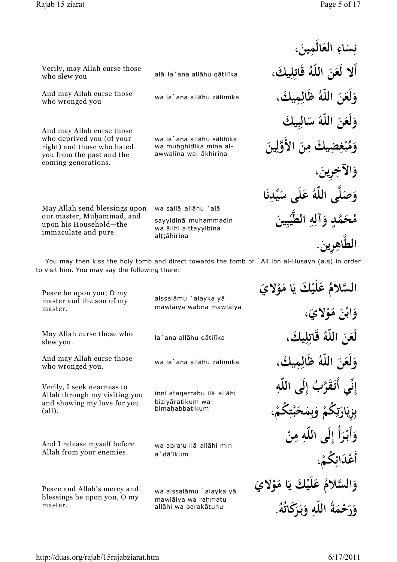who slew you

who wronged you

Verily, may Allah curse those

And may Allah curse those

And may Allah curse those who deprived you (of your right) and those who hated you from the past and the coming generations.

May Allah send blessings upon our master, Muhammad, and upon his Household—the immaculate and pure.

نِسَاءِ العَالَمِينَ، **َ ِ َ َ أَلا لَع َن اللّه ُ قَات ل يك ِ َ ِ َ و لَع َن اللّه ُ ظَال مِ يك ِ َ َ َ** وَلَعَنَ اللَّهُ سَالِبِيكَ **َ َ ِ َ و َ م ُ ب ْ** فِضِيكَ مِنَ الأَوَّلِينَ **َ ِ و الآخ ِرين ِ ، َ َ** وَصَلَّى اللَّهُ عَلَى سَيِّدِنَا **َ َ ِ ن** .<br>. مُحَمَّدٍ وَآلِهِ الطَّيِّبِينَ **ٍ َ ِ ِ ِ ني الط َّ اه ِرين ِ . َ**

You may then kiss the holy tomb and direct towards the tomb of `Alī ibn al-Husayn (a.s) in order to visit him. You may say the following there:

wa sallā allāhu `alā

alttāhirīna

sayyidinā muhammadin wa ālihi alțțayyibīna

alā la`ana allāhu gātilīka

wa la`ana allāhu zālimīka

wa la`ana allāhu sālibīka wa mubghidīka mina alawwalina wal-ākhirina

alssalāmu `alayka yā mawlāiya wabna mawlāiya Peace be upon you; O my master and the son of my master. la`ana allāhu gātilīka May Allah curse those who slew you. wa la`ana allāhu zālimīka And may Allah curse those who wronged you.

Verily, I seek nearness to Allah through my visiting you and showing my love for you (all).

And I release myself before Allah from your enemies.

innī atagarrabu ilā allāhi bizivāratikum wa bima¦abbatikum

wa abra'u ilā allāhi min a`dā'ikum

Peace and Allah's mercy and blessings be upon you, O my master.

wa alssalāmu `alayka yā mawlāiya wa rahmatu allāhi wa barakātuhu

السَّالاُمُ عَلَيْكَ يَا مَوْلايَ **ب**<br>• **َ ْ و اب َن م و َلاي ، َ ْ َ ْ لَع َن اللّه ُ قَات ل يك ِ َ ِ**<br>پا **َ و لَع َن اللّه ُ ظَال مِ يك ِ َ َ َ إ ِ** ِّي أَتَقَرَّبُ إِلَى اللَّهِ **ِّ ن ِ ب**<br>۶ .<br>ب **زِيَارَتِكُمْ وَبِمَحَبَّتِكُمْ، ب**<br>: ا<br>•<br>• **تي**<br>ج ِ<br>ئ **ْ َ َ ْ** وَأَبْرَأُ إِلَى اللّهِ مِنْ **َ بابہ َ ِ ْ َد أَع ائ ُكم ِ ، ْ** وَالسَّلامُ عَلَيْكَ يَا مَوْلايَ **َ ب**<br>• **َ ْ** وَرَحْمَةُ اللّهِ وَبَرَكَاتُهُ. **َ َ َ َ ب**<br>. **َ**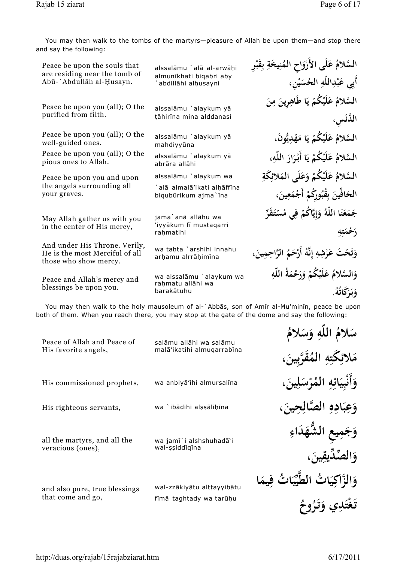You may then walk to the tombs of the martyrs—pleasure of Allah be upon them—and stop there and say the following:

| Peace be upon the souls that                                                             | alssalāmu `alā al-arwāhi                            | السَّلامُ عَلَى الأَرْوَاحِ الْمُنِيخَةِ بِقَبْرِ |
|------------------------------------------------------------------------------------------|-----------------------------------------------------|---------------------------------------------------|
| are residing near the tomb of<br>Abū-`Abdullāh al-Husayn.                                | almunīkhati biqabri aby<br>abdillāhi alhusayni      | أَبِي عَبْدِاللَّهِ الحُسَيْنِ،                   |
| Peace be upon you (all); O the                                                           | alssalāmu `alaykum yā                               | السَّلامُ عَلَيْكُمْ يَا طَاهِرِينَ مِنَ          |
| purified from filth.                                                                     | țāhirīna mina alddanasi                             | الدَّنَسِ،                                        |
| Peace be upon you (all); O the<br>well-guided ones.                                      | alssalāmu `alaykum yā<br>mahdiyyūna                 | السَّلامُ عَلَيْكُمْ يَا مَهْدِيُّونَ،            |
| Peace be upon you (all); O the<br>pious ones to Allah.                                   | alssalāmu `alaykum yā<br>abrāra allāhi              | السَّلامُ عَلَيْكُمْ يَا أَبْرَارَ اللَّهِ،       |
| Peace be upon you and upon                                                               | alssalāmu `alaykum wa                               | السَّلامُ عَلَيْكُمْ وَعَلَى المَلائِكَةِ         |
| the angels surrounding all<br>your graves.                                               | `alā almalā'ikati alḥāffīna<br>biqubūrikum ajma`īna | الحَافِّينَ بِقُبُورِكُمْ أَجْمَعِينَ،            |
| May Allah gather us with you                                                             | jama`anā allāhu wa                                  | جَمَعَنَا اللَّهُ وَإِيَّاكُمْ فِي مُسْتَقَرِّ    |
| in the center of His mercy,                                                              | 'iyyākum fī mustaqarri<br>rahmatihi                 | رَحْمَتِهِ                                        |
| And under His Throne. Verily,<br>He is the most Merciful of all<br>those who show mercy. | wa tahta `arshihi innahu<br>arhamu alrrāhimīna      | وَتَحْتَ عَرْشِهِ إِنَّهُ أَرْحَمُ الرَّاحِمِينَ، |
| Peace and Allah's mercy and                                                              | wa alssalāmu `alaykum wa                            | وَالسَّلامُ عَلَيْكُمْ وَرَحْمَةُ اللَّهِ         |
| blessings be upon you.                                                                   | rahmatu allāhi wa<br>barakātuhu                     | وَبَرَكَاتُهُ.                                    |
|                                                                                          |                                                     |                                                   |

You may then walk to the holy mausoleum of al-`Abbas, son of Amir al-Mu'minin, peace be upon both of them. When you reach there, you may stop at the gate of the dome and say the following:

| Peace of Allah and Peace of<br>His favorite angels, | salāmu allāhi wa salāmu<br>malā'ikatihi almuqarrabīna | سَلامُ اللَّهِ وَسَلامُ |
|-----------------------------------------------------|-------------------------------------------------------|-------------------------|
| His commissioned prophets,                          | wa anbiya'ihi almursalīna                             |                         |
| His righteous servants,                             | wa `ibādihi alşşālihīna                               |                         |
| all the martyrs, and all the<br>veracious (ones),   | wa jamī`i alshshuhadā`i<br>wal-șșiddigina             |                         |
| and also pure, true blessings<br>that come and go,  | wal-zzākiyātu alttayyibātu<br>fīmā taghtady wa tarūņu | وَالزَّاكَ              |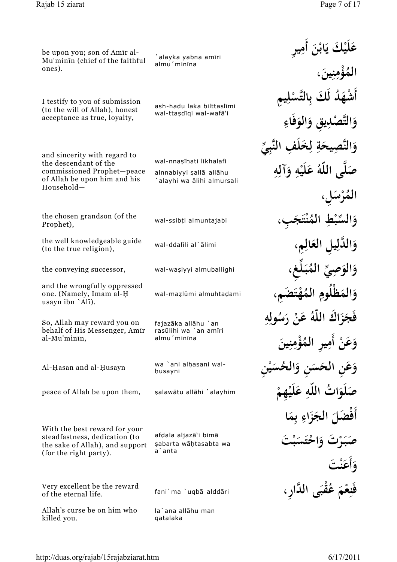**الم ُ ْؤ م ِ ن يبنَ** .<br>پا **،**

**َ**

**َ**

الْمُرْسَ*ّ* **ْ**

**َ**

**َ**

**َ َ**

**َ َ**

**َ**

**َ**

**َص**

**فَن ِ ع ْ م َ**

**َ**

**و أَع ْ َت ن َ َ**

**َ** .<br>.<br>.

**عَلَيْكَ يَابْنَ أَمِيرِ ب**<br>. **بابہ** 

أَشْهَدُ لَكَ بِالتَّسْلِيمِ **َ**

**و ص َّ التْ د ي ِق و ِ الو فَاء**

**َ ِ**

**ِل،**

**و دل ال َّ ي ِل الع ال**

**و الو ي ِص ِّ الم ُ**

وَالمَظْلُومِ الْمُ

**ِ**

**ِ**

**ِ**

**و ِّ الس ْط ب الم ِ ُ ن َ َجب ت**

**ْ**

**بـ َ غ ل ِّ ،ِ**

**ْه َ َض ت**

**َ**

**ِ ِ**

**َ**

**ْ ْ**

**ْ َت ب**

**ِ ه ِ**

**ي ْ ِن**

**َ**

**فَج ز ا َك للا ّه ُ َ ْنع ر س ُ لو**

وَعَنْ أَمِيرِ المُؤْمِنِينَ

وَعَنِ الحَسَنِ وَالْحُسَ

**َص لَو ات َ ُ اللّه َع ِ لَي ِهم**

**َل أَفْض الج ز اء مِ ا**

مَرْتَ وَاحْتَسَ*ّ* 

**َ**

**َ َ ِ ب**<br>۶ **َ**

**َ**

**َ َ**

**َ**

**َ َ**

وَالنَّصِيحَةِ لِخَلَفِ النَّبِيِّ

**ْ ِ َ ِ ِ**

صَلَّى اللَّهُ عَلَيْهِ وَآلِهِ

**ِ**

**ْ ِ**

**ِ**

**ِ**

be upon you; son of Amir al-Mu'minin (chief of the faithful ones).

`alayka yabna am¢ri almu<sup>'</sup>minina

I testify to you of submission (to the will of Allah), honest acceptance as true, loyalty,

ash-hadu laka bilttaslīmi wal-ttaşdīqi wal-wafā'i

and sincerity with regard to the descendant of the commissioned Prophet—peace of Allah be upon him and his Household—

wal-nnasīhati likhalafi alnnabiyyi sallā allāhu `alayhi wa ālihi almursali

the chosen grandson (of the Prophet),

the well knowledgeable guide (to the true religion),

the conveying successor, wal-waşiyyi almuballighi

and the wrongfully oppressed one. (Namely, Imam al-H usayn ibn `Alī).

So, Allah may reward you on behalf of His Messenger, Amīr al-Mu'minīn,

ki-Hasan and al-Husayn and al-Husayni

wa `ani alhasani wal-

peace of Allah be upon them, salawātu allāhi `alayhim

With the best reward for your steadfastness, dedication (to the sake of Allah), and support (for the right party).

afdala aljazā'i bimā sabarta wāhtasabta wa a`anta

Very excellent be the reward of the eternal life.

**عُقْبَى الدَّارِ ،**<br>مَقْبَى اللَّالِ ،

Allah's curse be on him who killed you.

la`ana allāhu man qatalaka

wal-ssib§i almuntajabi **، ِ**

**ِ** wal-ddal¢li al`¡limi **،مِ**

wal-mazlūmi almuhtadami

fajazāka allāhu `an rasūlihi wa `an amīri almu'minīna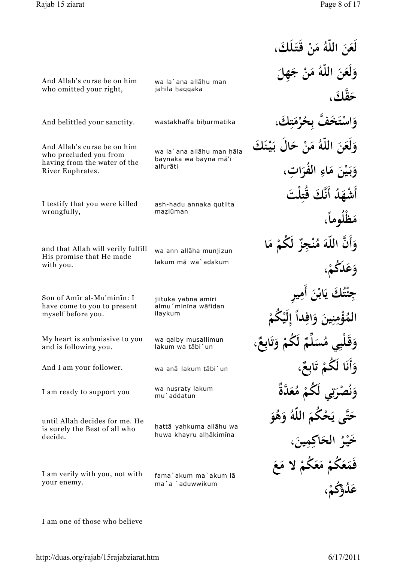And Allah's curse be on him who omitted your right,

And Allah's curse be on him who precluded you from having from the water of the

River Euphrates.

**لَع َن اللّه ُ م ْن قَـتـ لَك َ ، َ َ َ** وَلَعَنَ اللَّهُ مَنْ جَهِلَ **َ َ َ َ قك َح َّ ، َ و اس َ َخف ت َّ ِح ُ ر م ِك ت َ ْ ب**<br>۶ **ْ َ َ** وَلَعَنَ اللّٰهُ مَنْ حَالٍ بَيْنَكَ **َ َ َ ب**<br>. **ْ و بـ ي َن م اء ر الف ُ ات َ ، َ ب**<br>. **ْ َ ِ ِ** أَشْهَدُ أَنَّكَ قُتِلْتَ **َ َ مَظْلوماً، َ ً** وَأَنَّ اللَّهَ مُنْجِزٌ لَكُمْ مَا **َ َ ْ َ وَعَدَكُمْ**، **َ ْ ج ِ ئ ْ ُ َك ت ي ب**<br>• **با ٔ َن أ َم ِ ري ِ** الهُ<br>ا **ُ ْؤ م ِ ن ِ َني و َ فا اد ِ ً إ ِ لَي ْ ُكم ْ وَقَلْبِي مُسَلِّمٌ َ ٌ لَ ُكم و ِع اب ْ َ ت ُ**<br>. **ٌ ، و أَن ا لَ ُكم َ ِع اب ٌ َ ْ ت َ** وَنُصْرَتِي لَكُمْ مُعَدَّةُ **َ َ تي**<br>ج **ِ َ** حَتَّى يَحْكَمَ اللّهُ وَهُوَ **ب**<br>: **َ َ َ َخ ـي ر ْ** ر<br>ا ا**لحَاكِمِينَ َ ِ ،** فَمَعَكُمْ مَعَكُمْ لاَ مَعَ **َ َ ْ َ َ ْ عَدُوُّكُمْ.** 

ash-hadu annaka qutilta mazlūman I testify that you were killed wrongfully, wa ann allāha munjizun lakum mā wa`adakum and that Allah will verily fulfill His promise that He made with you. jiituka yabna amīri almu'minina wāfidan ilaykum Son of Amīr al-Mu'minīn: I have come to you to present myself before you. wa qalby musallimun lakum wa tābi`un My heart is submissive to you and is following you. And I am your follower. wa anā lakum tābi`un wa nuşraty lakum I am ready to support you wall was deep hattā yahkuma allāhu wa huwa khayru alhākimīna until Allah decides for me. He is surely the Best of all who decide. fama`akum ma`akum lā ma`a `aduwwikum I am verily with you, not with your enemy.

And belittled your sanctity. wastakhaffa bihurmatika

wa la`ana allāhu man

wa la`ana allāhu man hāla baynaka wa bayna mā'i

jahila haqqaka

alfurāti

I am one of those who believe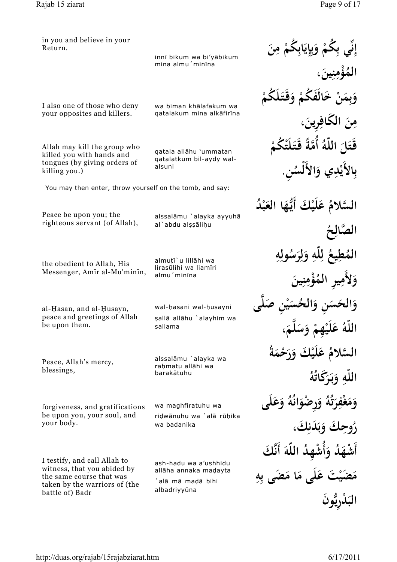| in you and believe in your<br>Return.                                                                      | innī bikum wa bi'yābikum                                     | إِنِّي بِكَمْ وَبِإِيَابِكُمْ مِنَ                               |
|------------------------------------------------------------------------------------------------------------|--------------------------------------------------------------|------------------------------------------------------------------|
|                                                                                                            | mina almu'minina                                             |                                                                  |
| I also one of those who deny<br>your opposites and killers.                                                | wa biman khālafakum wa<br>qatalakum mina alkāfirīna          | مِنَ الْكَافِرِينَ،                                              |
| Allah may kill the group who<br>killed you with hands and<br>tongues (by giving orders of<br>killing you.) | qatala allāhu 'ummatan<br>qatalatkum bil-aydy wal-<br>alsuni | قَتَلَ اللَّهُ أَمَّةً قَتَلَتْكُمْ<br>بِالأَيْدِي وَالأَلْسُنِ. |
| You may then enter, throw yourself on the tomb, and say:                                                   |                                                              |                                                                  |
| Peace be upon you; the<br>righteous servant (of Allah),                                                    | alssalāmu `alayka ayyuhā<br>al`abdu alşşālihu                | السَّلامُ عَلَيْكَ أَيُّهَا العَبْدُ                             |
|                                                                                                            |                                                              |                                                                  |
| the obedient to Allah, His<br>Messenger, Amir al-Mu'minin,                                                 | almuți`u lillāhi wa<br>lirasülihi wa liamīri                 | المُطِيعُ لِلَّهِ وَلِرَسُولِهِ                                  |
|                                                                                                            | almu 'minīna                                                 | وَلأَمِيرِ الْمُؤْمِنِينَ                                        |
| al-Hasan, and al-Husayn,<br>peace and greetings of Allah                                                   | wal-hasani wal-husayni<br>şallā allāhu `alayhim wa           |                                                                  |
| be upon them.                                                                                              | sallama                                                      |                                                                  |
| Peace, Allah's mercy,                                                                                      | alssalāmu `alayka wa<br>rahmatu allāhi wa<br>barakātuhu      | السَّلامُ عَلَيْكَ وَرَحْمَةُ                                    |
| blessings,                                                                                                 |                                                              | اللّهِ وَبَرَكَاتُهُ                                             |
| forgiveness, and gratifications<br>be upon you, your soul, and                                             | wa maghfiratuhu wa<br>ridwānuhu wa `alā rūhika               | وَمَغْفِرَتُهُ وَرِصْوَانُهُ وَعَلَى                             |
| your body.                                                                                                 | wa badanika                                                  | رُوحِكَ وَبَدَنكَ،                                               |
| I testify, and call Allah to                                                                               | ash-hadu wa a'ushhidu                                        | أَشْهَدُ وَأَشْهِدُ اللَّهَ أَنَّكَ                              |
| witness, that you abided by<br>the same course that was<br>taken by the warriors of (the                   | allāha annaka madayta<br>`alā mā madā bihi                   | عَلَى مَا مَضَى بِهِ                                             |
| battle of) Badr                                                                                            | albadriyyūna                                                 |                                                                  |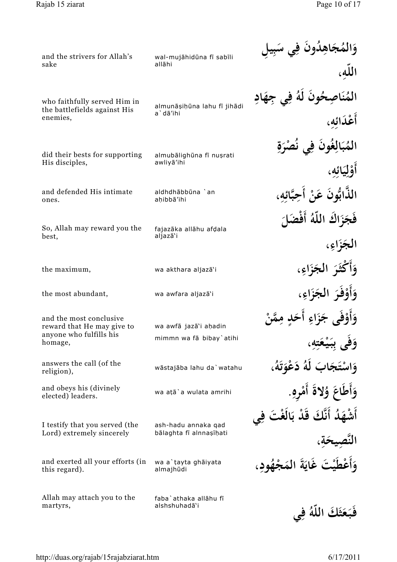| and the strivers for Allah's                          | wal-mujāhidūna fī sabīli         | وَالمُجَاهِدُونَ فِي سَبِيهِ        |
|-------------------------------------------------------|----------------------------------|-------------------------------------|
| sake                                                  | allāhi                           | اللّه،                              |
| who faithfully served Him in                          | almunāșiņūna lahu fī jihādi      | المُنَاصِحُونَ لَهُ فِي جِهَادِ     |
| the battlefields against His<br>enemies,              | a'dā'ihi                         | أَعْدَائه،                          |
| did their bests for supporting                        | almubālighūna fī nușrati         | الْمُبَالِغُونَ فِي نُصْرَةِ        |
| His disciples,                                        | awliyā'ihi                       | أَوْلِيَائِهِ،                      |
| and defended His intimate<br>ones.                    | aldhdhābbūna `an<br>ahibbā'ihi   | الذَّابُّونَ عَنْ أَحِبَّائِهِ،     |
| So, Allah may reward you the                          | fajazāka allāhu afdala           | فَجَزَاكَ اللَّهُ أَفْضَلَ          |
| best,                                                 | aljazā'i                         | الجَزَاءِ،                          |
| the maximum,                                          | wa akthara aljazā'i              | وَأَكْثَرَ الْجَزَاءِ،              |
| the most abundant,                                    | wa awfara aljazā'i               | وَأَوْفَرَ الْجَزَاءِ،              |
| and the most conclusive<br>reward that He may give to | wa awfā jazā'i ahadin            | وَأَوْفَى جَزَاءِ أَحَدِ مِمَّنْ    |
| anyone who fulfills his<br>homage,                    | mimmn wa fā bibay'atihi          | وَفِي بِبَيْعَتِهِ،                 |
| answers the call (of the<br>religion),                | wāstajāba lahu da`watahu         | وَاسْتَجَابَ لَهُ دَعْوَتَهُ،       |
| and obeys his (divinely<br>elected) leaders.          | wa atā`a wulata amrihi           | وَأَطَاعَ وُلاةَ أَمْرِهِ.          |
| I testify that you served (the                        | ash-hadu annaka qad              | أَشْهَدُ أَنَّكَ قَدْ بَالَغْتَ فِي |
| Lord) extremely sincerely                             | bālaghta fī alnnașīhati          | النَّصِيحَةِ،                       |
| and exerted all your efforts (in<br>this regard).     | wa a`tayta ghāiyata<br>almajhūdi | وَأَعْطَيْتَ غَايَةَ المَجْهُودِ،   |
| Allah may attach you to the                           | faba`athaka allāhu fī            |                                     |
| martyrs,                                              | alshshuhadā'i                    | فَبَعَثَكَ اللَّهُ فِي              |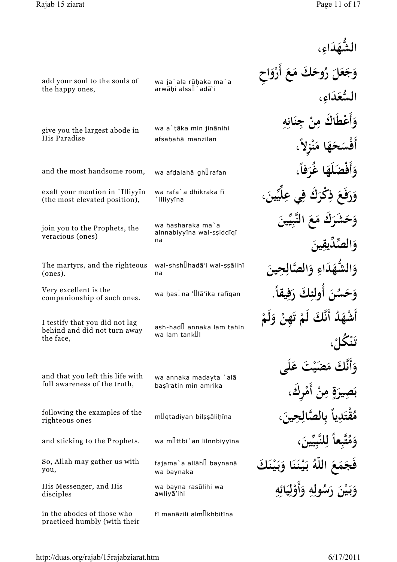| add your soul to the souls of<br>the happy ones,                            | wa ja`ala rūḥaka ma`a<br>arwāḥi alss <sup>[] `</sup> adā`i | رُوحَكَ مَعَ أَرْوَاح<br>السُّعَدَاءِ،             |
|-----------------------------------------------------------------------------|------------------------------------------------------------|----------------------------------------------------|
| give you the largest abode in<br>His Paradise                               | wa a`tāka min jinānihi<br>afsahahā manzilan                | وَأَعْطَاكَ مِنْ جِنَانِهِ<br>حَهَا مَنْزِلاً،     |
| and the most handsome room,                                                 | wa afdalahā gh <sup>[]</sup> rafan                         | وَأَفْضَلَهَا غُرَفاً،                             |
| exalt your mention in `Illiyyin<br>(the most elevated position),            | wa rafa`a dhikraka fī<br>illiyyīna                         | وَرَفَعَ ذِكْرَكَ فِي عِلَيِّينَ،                  |
| join you to the Prophets, the<br>veracious (ones)                           | wa hasharaka ma`a<br>alnnabiyyīna wal-șșiddīqī<br>na       | وَحَشَرَكَ مَعَ النَّبِيِّينَ<br>وَالصَّدَيقينَ    |
| The martyrs, and the righteous<br>(ones).                                   | wal-shshdhadā`i wal-şşāliḥī<br>na                          | اءِ وَ                                             |
| Very excellent is the<br>companionship of such ones.                        | wa has <sup>[]</sup> na ` <sup>[</sup> ]lā'ika rafīqan     | وَحَسُنَ أَولئكَ رَفِيقًا                          |
| I testify that you did not lag<br>behind and did not turn away<br>the face, | ash-had <b>l</b> annaka lam tahin<br>wa lam tank∐l         | ا ؤ                                                |
| and that you left this life with<br>full awareness of the truth,            | wa annaka madayta `alā<br>bașīratin min amrika             | وَأَنَّكَ مَصَيْتَ عَلَى<br>بِيرَةٍ مِنْ أَمْرِكَ، |
| following the examples of the<br>righteous ones                             | mlgtadiyan bilşşalihina                                    | مُقْتَدِياً بالصَّا                                |
| and sticking to the Prophets.                                               | wa mlttbi'an lilnnbiyyina                                  | بعاً لِلنَّبِيِّينَ،                               |
| So, Allah may gather us with<br>you,                                        | fajama`a allāh <sup>[]</sup> baynanā<br>wa baynaka         | عَ اللَّهُ بَيْنَنَا وَبَيْنَكَ                    |
| His Messenger, and His<br>disciples                                         | wa bayna rasūlihi wa<br>awliyā'ihi                         | وَبَيْنَ رَسُولِهِ وَأَوْلِيَائِهِ                 |
| in the abodes of those who<br>practiced humbly (with their                  | fī manāzili alm <sup>[</sup> khbitīna                      |                                                    |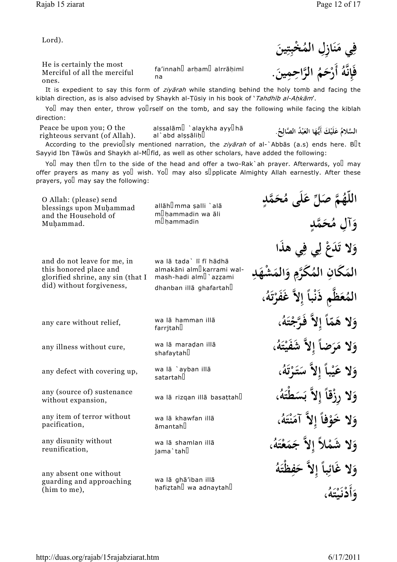He is certainly the most Merciful of all the merciful ones.

fa'innah<sup>[]</sup> arham<sup>[]</sup> alrrāhimī na

It is expedient to say this form of *ziyārah* while standing behind the holy tomb and facing the kiblah direction, as is also advised by Shaykh al-Țūsiy in his book of 'Tahdhīb al-Ahkām'. **فَإ ه ِ َّ ُ أَر َح م ْ**

Yo $\Box$  may then enter, throw yo $\Box$ rself on the tomb, and say the following while facing the kiblah direction:

alssalām $\mathbb I$  `alaykha ayy $\mathbb I$ hā Peace be upon you; O the righteous servant (of Allah).

al`abd alşşālih

السَّلامُ عَلَيْكَ أَيُّهَا العَبْدُ الصَّالِحُ.<br>ا **َ َ ْ**

اللَّهُمَّ صَلِّ عَلَى مُحَمَّدٍ

**ٍ**

According to the previolsly mentioned narration, the *ziyarah* of al-`Abbas (a.s) ends here. But Sayyid Ibn Tāwūs and Shaykh al-M $\mathbb I$ fīd, as well as other scholars, have added the following:

Yoll may then tll rn to the side of the head and offer a two-Rak`ah prayer. Afterwards, yoll may offer prayers as many as yo wish. Yo may also supplicate Almighty Allah earnestly. After these prayers, yo $\Box$  may say the following:

O Allah: (please) send blessings upon Muhammad and the Household of Muhammad.

allāh<sup>[]</sup>mma şalli `alā m<sup>[</sup>hammadin wa āli  $m$ <sup>D</sup>hammadin

and do not leave for me, in this honored place and glorified shrine, any sin (that I did) without forgiveness,

any illness without cure, wa la mara<br>shafaytahl wa lā maradan illā

wa lā `ayban illā any defect with covering up,  $\frac{wa}{a}$  and  $\frac{a}{b}$ 

wa lā rizgan illā basattah**u** 

wa lā khawfan illā  $āmantah$ 

wa lā shamlan illā jama`tah<sup>[]</sup>

any absent one without guarding and approaching (him to me),

any (source of) sustenance

any item of terror without

without expansion,

any disunity without

pacification,

reunification,

wa lā ghā'iban illā hafiztah<sup>[]</sup> wa adnaytah<sup>[]</sup>

wa lā tada` lī fī hādhā almakāni alm<sup>[]</sup>karrami walmash-hadi alm $\mathbb{I}$ `azzami dhanban illā ghafartah

wa lā hamman illā

any care without relief, wa la ha

**ُ َّ الر اح م ِ ين ِ .** .<br>.

**ٍ**



**ِ**

**ن**

فِي مَنَازِلِ المُخْبِتِينَ

**ِ**

**َ**

**َ**

**وَآلِ مُحَمَّدٍ َ و َ َد ْع ل لا ت ي ف ي ه َذ ا َ ِ ِ** المَكَّانِ المُكَرَّمِ وَالْمَشْهَ **َ ِ ِ َ َ د ِ** المُعَظَّمِ ذَنْباً إِلاَّ غَفَرْتَهُ، **َ إ ً ت ُ**<br>. وَلا هَمَّاً إِلاَّ فَرَّجْتَهُ، **َ ً إ ْ َ و َلا م ر ُ ه يت َشَف ِلاَّ ضا َ َ َ ْ إ ً** وَلا عَيْباً إِلاَّ سَتَرْتَهُ، **َ ً َ َ ْ ت ُقُ و ِلاَّ ْزقا َ لا ِر َس َطْت ه ُ َ ب إ ً**

**و ْ لا َخو ًفا آم ِلاَّ ن ت ه ُ ، َ إ َ ْ َ** وَلا شَمْلاً إِلاَّ جَمَعْتَهُ، **َ َ ْ َ و ِ لا غَائ با ح إ ِلاَّ ف َظْت ه ُ َ ً َ ِ و أَد ـن ي ت ه ُ ، َ ْ** .<br>. **ْ َ**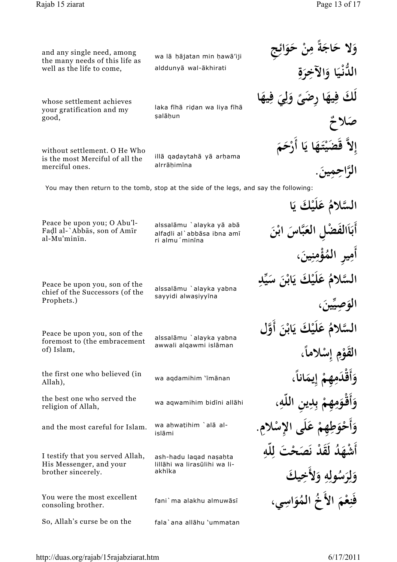**َ ِ**

**ٌلاح َص**

**و َ لا ح اج م ة ْن ِ َح و ِج ئا**

**ِ َ ِ**

 $\hat{\mathbf{d}}$ كِّ فِيهَا رِضَىً وَلِيَ فِيهَا

**ً َ ل َ**

**َ**

**ِ**

**ِ**

**ِ**

**َ ً**

الدُّنْيَا وَالآخِرَةِ **َ َ**

and any single need, among the many needs of this life as well as the life to come,

wa lā hājatan min hawā'iji alddunyā wal-ākhirati

whose settlement achieves your gratification and my good,

laka fīhā ridan wa liya fīhā salāhun

without settlement. O He Who is the most Merciful of all the merciful ones.

illā qaḍaytahā yā arhama alrrāhimīna

You may then return to the tomb, stop at the side of the legs, and say the following:

Peace be upon you; O Abu'l-Fadl al-`Abbās, son of Amīr al-Mu'minīn.

alssalāmu `alayka yā abā alfadli al`abbāsa ibna amī ri almu'minina

Peace be upon you, son of the chief of the Successors (of the Prophets.)

sayyidi alwaşiyyīna

alssalāmu `alayka yabna

Peace be upon you, son of the foremost to (the embracement of) Islam,

the first one who believed (in Allah),

the best one who served the religion of Allah,

and the most careful for Islam.

I testify that you served Allah, His Messenger, and your brother sincerely.

You were the most excellent consoling brother.

So, Allah's curse be on the fala`ana allāhu 'ummatan

alssalāmu `alayka yabna awwali alqawmi islāman

wa aqdamihim 'īmānan

**ِ** wa aqwamihim bid¢ni all¡hi **،**

wa ahwatihim `alā alislāmi

ash-hadu lagad nasahta lillāhi wa lirasūlihi wa liakhīka

*fani* ma alakhu almuwāsī

**إ** إِلاَّ قَضَہَ<br>ءِ **ي ـت َه ي ا أ ا َر َح م ْ َ ب**<br>: **ْ َ َّ الر اح م ِ ين ِ َ . ُ َّلام الس َع ْ َك لَي ا ي ب**<br>• أَبَاَالْفَضْلِ الْعَبَّاسَ ابْنَ **ب**<br>. **َ ٔ** أَمِيرِ المُؤْمِنِينَ، **ِ ِ ِ** السَّلامُ عَلَيْكَ يَابْنَ سَيِّد*ِ* **ب**<br>: **ٔ** ا<mark>لوَصِيِّينَ</mark>، **َ َ** السَّلامُ عَلَيْكَ يَابْنَ أَوَّل

**ب**<br>. **ٔ** القَوْمِ إِسْلاماً، **ْ ِ ً و أَقْد م ِهم ِ يم ِ انا َ َ ْ إ َ ً و أَقْـو م ِهم ِ د ب ي ِن اللّه ِ ِ َ َ ْ و أَح و ط ِهم ِ ْلا ِس لَى الإ َع م ِ . َ ْ َ ْ** أَشْهَدُ لَقَدْ نَصَحْتَ لِلْهِ **ِ ِ و ر س ُ ول ه و ِ لأَخ يك ِ َ ل ِ َ ِ َ َ فَن ع م الأَخ ُ الم ُ و اس ِ ْ َ َ**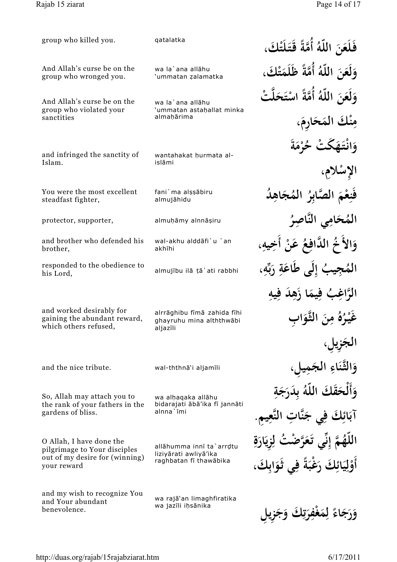| group who killed you.                                                             | qatalatka                                                           | فَلَعَنَ اللَّهُ أُمَّةً قَتَلَتْكَ،  |
|-----------------------------------------------------------------------------------|---------------------------------------------------------------------|---------------------------------------|
| And Allah's curse be on the<br>group who wronged you.                             | wa la`ana allāhu<br>'ummatan zalamatka                              | وَلَعَنَ اللَّهُ أُمَّةً ظَلَمَتْكَ،  |
| And Allah's curse be on the                                                       | wa la`ana allāhu                                                    | وَلَعَنَ اللَّهُ أُمَّةً اسْتَحَلَّتْ |
| group who violated your<br>sanctities                                             | 'ummatan astahallat minka<br>almahārima                             | مِنْكَ المَحَارِمَ،                   |
| and infringed the sanctity of                                                     | wantahakat hurmata al-                                              | وَانْتَهَكَّتْ حُرْمَةَ               |
| Islam.                                                                            | islāmi                                                              | الإسلام،                              |
| You were the most excellent<br>steadfast fighter,                                 | fani`ma alşşābiru<br>almujāhidu                                     | فَنِعْمَ الصَّابِرُ المُجَاهِدُ       |
| protector, supporter,                                                             | almuḥāmy alnnāṣiru                                                  | المُحَامِي النَّاصِرُ                 |
| and brother who defended his<br>brother,                                          | wal-akhu alddāfi`u `an<br>akhīhi                                    | وَالأُخُ الدَّافِعُ عَنْ أَخِيهِ،     |
| responded to the obedience to<br>his Lord,                                        | almujību ilā tā`ati rabbhi                                          | جِيبُ إِلَى طَاعَةِ رَبِّهِ،          |
|                                                                                   |                                                                     | الرَّاغِبُ فِيمَا زَهِدَ فِيهِ        |
| and worked desirably for<br>gaining the abundant reward,<br>which others refused, | alrrāghibu fīmā zahida fīhi<br>ghayruhu mina alththwābi<br>aljazīli | غَيْرُهُ مِنَ الثَّوَابِ              |
|                                                                                   |                                                                     |                                       |
| and the nice tribute.                                                             | wal-ththnā'i aljamīli                                               | وَالثَّنَاءِ الجَمِيا                 |
| So, Allah may attach you to                                                       | wa alhaqaka allāhu                                                  | وَأَلْحَقَكَ اللَّهُ بِدَرَجَةِ       |
| the rank of your fathers in the<br>gardens of bliss.                              | bidarajati ābā'ika fī jannāti<br>alnna'īmi                          | ائِكَ فِي جَنَّاتِ النَّعِيمِ.        |
| O Allah, I have done the<br>pilgrimage to Your disciples                          | allāhumma innī ta`arrdtu                                            | هُمَّ إِنِّي تَعَرَّضْتُ لِزِيَارَةِ  |
| out of my desire for (winning)<br>your reward                                     | liziyārati awliyā'ika<br>raghbatan fī thawābika                     | أَوْلِيَائِكَ رَغْبَةً فِي ثَوَابِكَ، |
| and my wish to recognize You<br>and Your abundant<br>benevolence.                 | wa rajā'an limaghfiratika<br>wa jazīli ihsānika                     |                                       |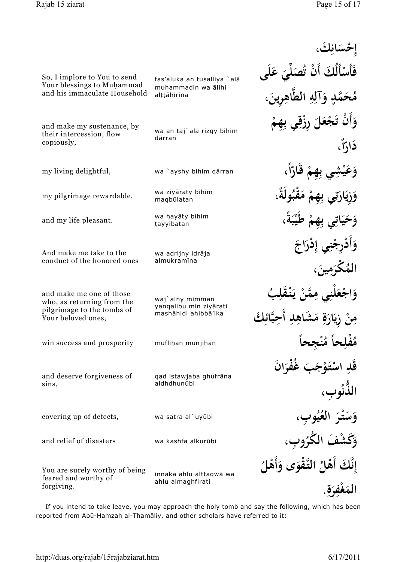|                                                                                                            |                                                                   | إحْسَانكَ،                                                |
|------------------------------------------------------------------------------------------------------------|-------------------------------------------------------------------|-----------------------------------------------------------|
| So, I implore to You to send<br>Your blessings to Muhammad                                                 | fas'aluka an tuşalliya `alā                                       | فَأَسْأَلُكَ أَنْ تُصَلِّىَ عَلَى                         |
| and his immaculate Household                                                                               | muhammadin wa ālihi<br>alțțāhirīna                                | مُحَمَّدٍ وَآلِهِ الطَّاهِرِينَ،                          |
| and make my sustenance, by<br>their intercession, flow<br>copiously,                                       | wa an taj'ala rizqy bihim<br>dārran                               | وَأَنْ تَجْعَلَ رِزْقِي بِهِمْ<br>دَارِّاً،               |
| my living delightful,                                                                                      | wa `ayshy bihim qārran                                            | ى بِهِمْ قَارّاً،                                         |
| my pilgrimage rewardable,                                                                                  | wa ziyāraty bihim<br>maqbūlatan                                   |                                                           |
| and my life pleasant.                                                                                      | wa hayāty bihim<br>tayyibatan                                     | وَحَيَاتِي بِهِمْ طَيِّبَةً،                              |
| And make me take to the<br>conduct of the honored ones                                                     | wa adrijny idrāja<br>almukramīna                                  | رجْنِي إِدْرَاجَ                                          |
| and make me one of those<br>who, as returning from the<br>pilgrimage to the tombs of<br>Your beloved ones, | waj alny mimman<br>yanqalibu min ziyārati<br>mashāhidi ahibbā'ika | نِي مِمَّنْ يَذْ<br>مِنْ زِيَارَةٍ مَشَاهِدِ أَحِبَّائِكَ |
| win success and prosperity                                                                                 | muflihan munjihan                                                 |                                                           |
| and deserve forgiveness of<br>sins,                                                                        | gad istawjaba ghufrāna<br>aldhdhunūbi                             | غُفْرَانَ<br>الذُّنُوبِ،                                  |
| covering up of defects,                                                                                    | wa satra al`uyūbi                                                 | وَسَتْرَ العُيُوبِ،                                       |
| and relief of disasters                                                                                    | wa kashfa alkurūbi                                                |                                                           |
| You are surely worthy of being<br>feared and worthy of<br>forgiving.                                       | innaka ahlu alttaqwā wa<br>ahlu almaghfirati                      | إِنَّكَ أَهْلُ التَّقْوَى وَأَهْلُ                        |
|                                                                                                            |                                                                   |                                                           |

If you intend to take leave, you may approach the holy tomb and say the following, which has been reported from Abū-Ḥamzah al-Thamāliy, and other scholars have referred to it: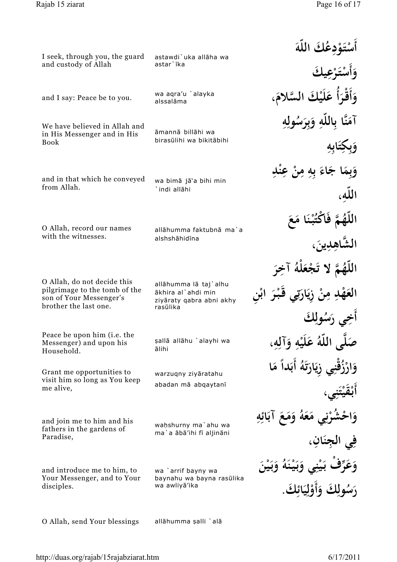| I seek, through you, the guard                                                    | astawdi`uka allāha wa<br>astar`īka                                                  | ءْدعُكَ اللَّهَ                   |
|-----------------------------------------------------------------------------------|-------------------------------------------------------------------------------------|-----------------------------------|
| and custody of Allah                                                              |                                                                                     |                                   |
| and I say: Peace be to you.                                                       | wa aqra'u `alayka<br>alssalāma                                                      | وَأَقْدَأَ<br>عَلَيْكَ السَّلامَ، |
| We have believed in Allah and                                                     | āmannā billāhi wa                                                                   | آمَنَّا بِاللَّهِ وَبِرَسُولِهِ   |
| in His Messenger and in His<br><b>Book</b>                                        | birasūlihi wa bikitābihi                                                            |                                   |
| and in that which he conveyed                                                     | wa bimā jā'a bihi min                                                               | وَبِمَا جَاءَ ٻهِ مِنْ عِنْدِ     |
| from Allah.                                                                       | `indi allāhi                                                                        |                                   |
| O Allah, record our names                                                         | allāhumma faktubnā ma`a                                                             |                                   |
| with the witnesses.                                                               | alshshāhidīna                                                                       |                                   |
| O Allah, do not decide this                                                       |                                                                                     | اللَّهُمَّ لَا تَجْعَلْهُ آ       |
| pilgrimage to the tomb of the<br>son of Your Messenger's<br>brother the last one. | allāhumma lā taj`alhu<br>ākhira al`ahdi min<br>ziyāraty qabra abni akhy<br>rasūlika | نْ زِيَارَتِي قَبْرَ ابْنِ        |
|                                                                                   |                                                                                     |                                   |
| Peace be upon him ( <i>i.e.</i> the<br>Messenger) and upon his<br>Household.      | şallā allāhu `alayhi wa<br>ālihi                                                    | صَلَّى اللَّهُ عَلَيْهِ وَآلِهِ،  |
| Grant me opportunities to<br>visit him so long as You keep                        | warzuqny ziyāratahu                                                                 | زُقْنِي زِيَارَتَهُ أَبَداً مَا   |
| me alive,                                                                         | abadan mā abqaytanī                                                                 |                                   |
| and join me to him and his<br>fathers in the gardens of                           | wahshurny ma'ahu wa                                                                 | شُرْنِي مَعَهُ وَمَعَ آبَائِهِ    |
| Paradise,                                                                         | ma`a ābā'ihi fī aljināni                                                            |                                   |
| and introduce me to him, to<br>Your Messenger, and to Your                        | wa `arrif bayny wa<br>baynahu wa bayna rasūlika                                     |                                   |
| disciples.                                                                        | wa awliyā'ika                                                                       | رَسُولِكَ وَأَوْلِيَائِكَ.        |
| O Allah, send Your blessings                                                      | allāhumma şalli `alā                                                                |                                   |